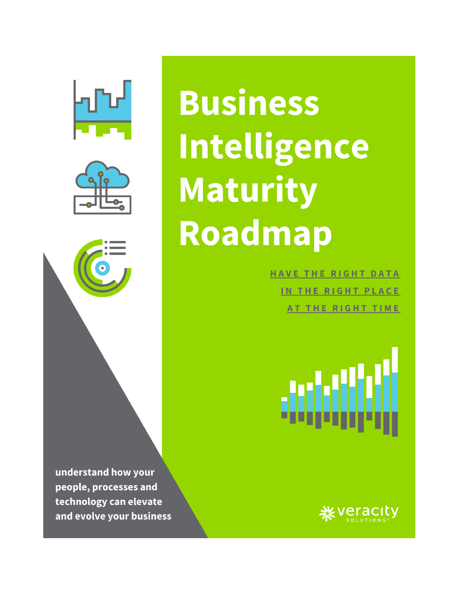



**Business** Intelligence **Maturity** Roadmap

> **HAVE THE RIGHT DATA** IN THE RIGHT PLACE AT THE RIGHT TIME

understand how your people, processes and technology can elevate and evolve your business

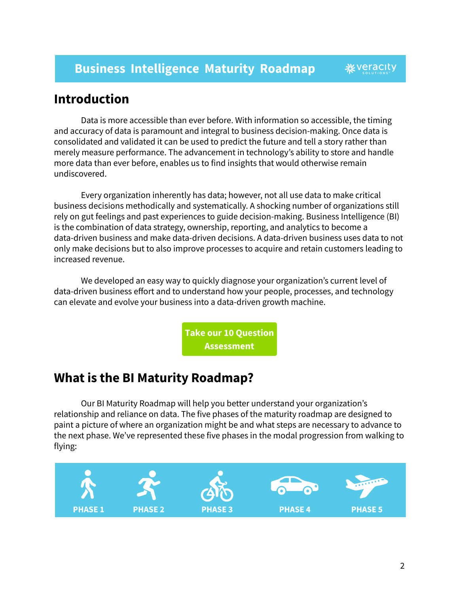# **Introduction**

Data is more accessible than ever before. With information so accessible, the timing and accuracy of data is paramount and integral to business decision-making. Once data is consolidated and validated it can be used to predict the future and tell a story rather than merely measure performance. The advancement in technology's ability to store and handle more data than ever before, enables us to find insights that would otherwise remain undiscovered.

Every organization inherently has data; however, not all use data to make critical business decisions methodically and systematically. A shocking number of organizations still rely on gut feelings and past experiences to guide decision-making. Business Intelligence (BI) is the combination of data strategy, ownership, reporting, and analytics to become a data-driven business and make data-driven decisions. A data-driven business uses data to not only make decisions but to also improve processes to acquire and retain customers leading to increased revenue.

We developed an easy way to quickly diagnose your organization's current level of data-driven business effort and to understand how your people, processes, and technology can elevate and evolve your business into a data-driven growth machine.

> **Take our 10 Question Assessment**

# **What is the BI Maturity Roadmap?**

Our BI Maturity Roadmap will help you better understand your organization's relationship and reliance on data. The five phases of the maturity roadmap are designed to paint a picture of where an organization might be and what steps are necessary to advance to the next phase. We've represented these five phases in the modal progression from walking to flying:

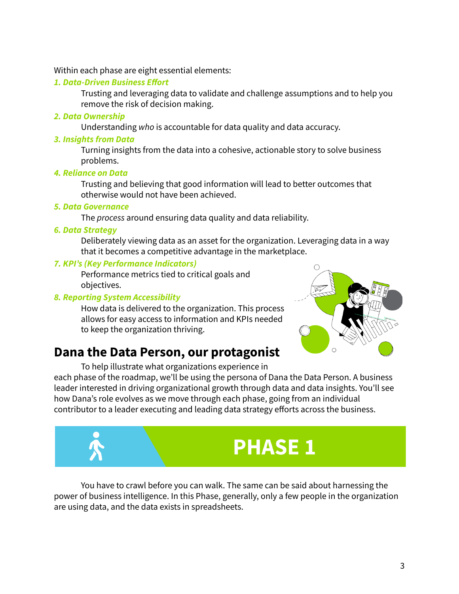Within each phase are eight essential elements:

#### *1. Data-Driven Business Effort*

Trusting and leveraging data to validate and challenge assumptions and to help you remove the risk of decision making.

*2. Data Ownership*

Understanding *who* is accountable for data quality and data accuracy.

*3. Insights from Data*

Turning insights from the data into a cohesive, actionable story to solve business problems.

*4. Reliance on Data*

Trusting and believing that good information will lead to better outcomes that otherwise would not have been achieved.

#### *5. Data Governance*

The *process* around ensuring data quality and data reliability.

#### *6. Data Strategy*

Deliberately viewing data as an asset for the organization. Leveraging data in a way that it becomes a competitive advantage in the marketplace.

#### *7. KPI's (Key Performance Indicators)*

Performance metrics tied to critical goals and objectives.

#### *8. Reporting System Accessibility*

How data is delivered to the organization. This process allows for easy access to information and KPIs needed to keep the organization thriving.



# **Dana the Data Person, our protagonist**

To help illustrate what organizations experience in each phase of the roadmap, we'll be using the persona of Dana the Data Person. A business leader interested in driving organizational growth through data and data insights. You'll see how Dana's role evolves as we move through each phase, going from an individual contributor to a leader executing and leading data strategy efforts across the business.



You have to crawl before you can walk. The same can be said about harnessing the power of business intelligence. In this Phase, generally, only a few people in the organization are using data, and the data exists in spreadsheets.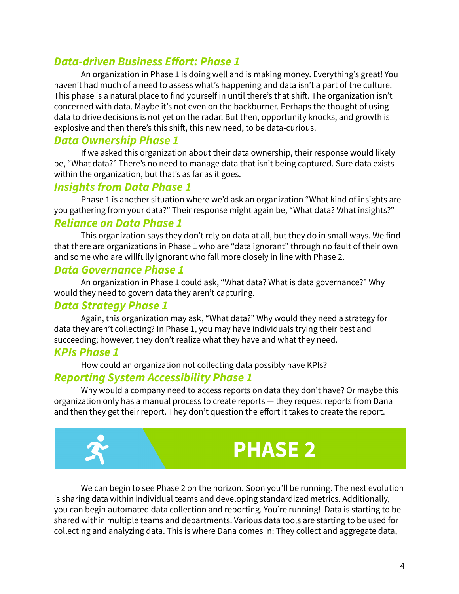# *Data-driven Business Effort: Phase 1*

An organization in Phase 1 is doing well and is making money. Everything's great! You haven't had much of a need to assess what's happening and data isn't a part of the culture. This phase is a natural place to find yourself in until there's that shift. The organization isn't concerned with data. Maybe it's not even on the backburner. Perhaps the thought of using data to drive decisions is not yet on the radar. But then, opportunity knocks, and growth is explosive and then there's this shift, this new need, to be data-curious.

#### *Data Ownership Phase 1*

If we asked this organization about their data ownership, their response would likely be, "What data?" There's no need to manage data that isn't being captured. Sure data exists within the organization, but that's as far as it goes.

#### *Insights from Data Phase 1*

Phase 1 is another situation where we'd ask an organization "What kind of insights are you gathering from your data?" Their response might again be, "What data? What insights?"

#### *Reliance on Data Phase 1*

This organization says they don't rely on data at all, but they do in small ways. We find that there are organizations in Phase 1 who are "data ignorant" through no fault of their own and some who are willfully ignorant who fall more closely in line with Phase 2.

#### *Data Governance Phase 1*

An organization in Phase 1 could ask, "What data? What is data governance?" Why would they need to govern data they aren't capturing.

#### *Data Strategy Phase 1*

Again, this organization may ask, "What data?" Why would they need a strategy for data they aren't collecting? In Phase 1, you may have individuals trying their best and succeeding; however, they don't realize what they have and what they need.

#### *KPIs Phase 1*

How could an organization not collecting data possibly have KPIs?

#### *Reporting System Accessibility Phase 1*

Why would a company need to access reports on data they don't have? Or maybe this organization only has a manual process to create reports — they request reports from Dana and then they get their report. They don't question the effort it takes to create the report.



We can begin to see Phase 2 on the horizon. Soon you'll be running. The next evolution is sharing data within individual teams and developing standardized metrics. Additionally, you can begin automated data collection and reporting. You're running! Data is starting to be shared within multiple teams and departments. Various data tools are starting to be used for collecting and analyzing data. This is where Dana comes in: They collect and aggregate data,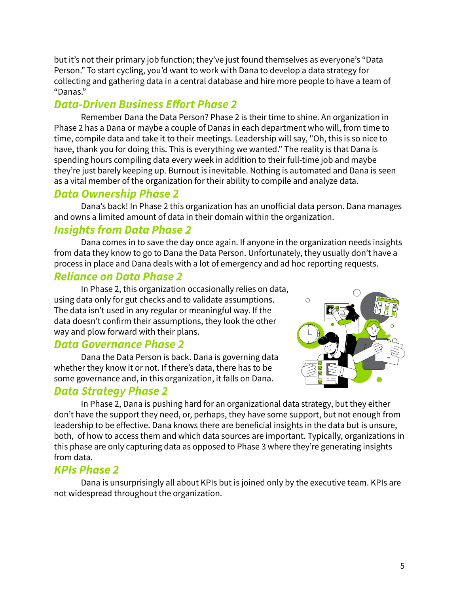but it's not their primary job function; they've just found themselves as everyone's "Data Person." To start cycling, you'd want to work with Dana to develop a data strategy for collecting and gathering data in a central database and hire more people to have a team of "Danas."

# *Data-Driven Business Effort Phase 2*

Remember Dana the Data Person? Phase 2 is their time to shine. An organization in Phase 2 has a Dana or maybe a couple of Danas in each department who will, from time to time, compile data and take it to their meetings. Leadership will say, "Oh, this is so nice to have, thank you for doing this. This is everything we wanted." The reality is that Dana is spending hours compiling data every week in addition to their full-time job and maybe they're just barely keeping up. Burnout is inevitable. Nothing is automated and Dana is seen as a vital member of the organization for their ability to compile and analyze data.

## *Data Ownership Phase 2*

Dana's back! In Phase 2 this organization has an unofficial data person. Dana manages and owns a limited amount of data in their domain within the organization.

# *Insights from Data Phase 2*

Dana comes in to save the day once again. If anyone in the organization needs insights from data they know to go to Dana the Data Person. Unfortunately, they usually don't have a process in place and Dana deals with a lot of emergency and ad hoc reporting requests.

## *Reliance on Data Phase 2*

In Phase 2, this organization occasionally relies on data, using data only for gut checks and to validate assumptions. The data isn't used in any regular or meaningful way. If the data doesn't confirm their assumptions, they look the other way and plow forward with their plans.

#### *Data Governance Phase 2*

Dana the Data Person is back. Dana is governing data whether they know it or not. If there's data, there has to be some governance and, in this organization, it falls on Dana.

#### *Data Strategy Phase 2*



In Phase 2, Dana is pushing hard for an organizational data strategy, but they either don't have the support they need, or, perhaps, they have some support, but not enough from leadership to be effective. Dana knows there are beneficial insights in the data but is unsure, both, of how to access them and which data sources are important. Typically, organizations in this phase are only capturing data as opposed to Phase 3 where they're generating insights from data.

## *KPIs Phase 2*

Dana is unsurprisingly all about KPIs but is joined only by the executive team. KPIs are not widespread throughout the organization.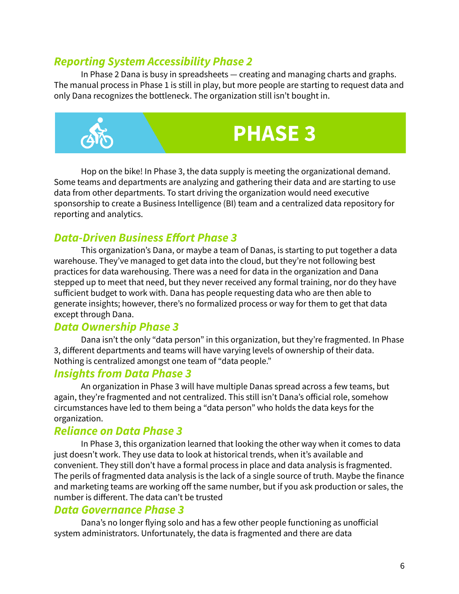#### *Reporting System Accessibility Phase 2*

In Phase 2 Dana is busy in spreadsheets — creating and managing charts and graphs. The manual process in Phase 1 is still in play, but more people are starting to request data and only Dana recognizes the bottleneck. The organization still isn't bought in.



Hop on the bike! In Phase 3, the data supply is meeting the organizational demand. Some teams and departments are analyzing and gathering their data and are starting to use data from other departments. To start driving the organization would need executive sponsorship to create a Business Intelligence (BI) team and a centralized data repository for reporting and analytics.

# *Data-Driven Business Effort Phase 3*

This organization's Dana, or maybe a team of Danas, is starting to put together a data warehouse. They've managed to get data into the cloud, but they're not following best practices for data warehousing. There was a need for data in the organization and Dana stepped up to meet that need, but they never received any formal training, nor do they have sufficient budget to work with. Dana has people requesting data who are then able to generate insights; however, there's no formalized process or way for them to get that data except through Dana.

#### *Data Ownership Phase 3*

Dana isn't the only "data person" in this organization, but they're fragmented. In Phase 3, different departments and teams will have varying levels of ownership of their data. Nothing is centralized amongst one team of "data people."

#### *Insights from Data Phase 3*

An organization in Phase 3 will have multiple Danas spread across a few teams, but again, they're fragmented and not centralized. This still isn't Dana's official role, somehow circumstances have led to them being a "data person" who holds the data keys for the organization.

#### *Reliance on Data Phase 3*

In Phase 3, this organization learned that looking the other way when it comes to data just doesn't work. They use data to look at historical trends, when it's available and convenient. They still don't have a formal process in place and data analysis is fragmented. The perils of fragmented data analysis is the lack of a single source of truth. Maybe the finance and marketing teams are working off the same number, but if you ask production or sales, the number is different. The data can't be trusted

#### *Data Governance Phase 3*

Dana's no longer flying solo and has a few other people functioning as unofficial system administrators. Unfortunately, the data is fragmented and there are data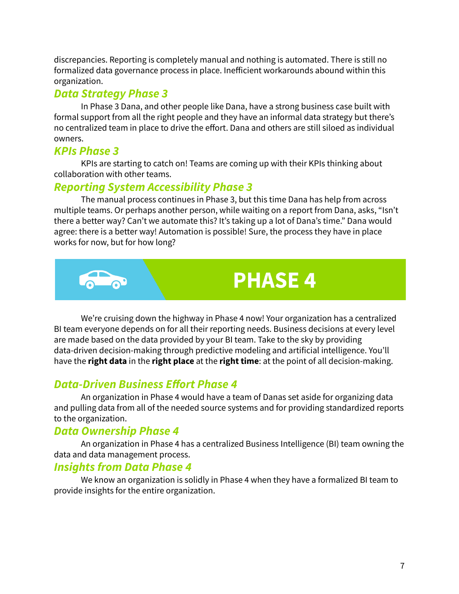discrepancies. Reporting is completely manual and nothing is automated. There is still no formalized data governance process in place. Inefficient workarounds abound within this organization.

#### *Data Strategy Phase 3*

In Phase 3 Dana, and other people like Dana, have a strong business case built with formal support from all the right people and they have an informal data strategy but there's no centralized team in place to drive the effort. Dana and others are still siloed as individual owners.

#### *KPIs Phase 3*

KPIs are starting to catch on! Teams are coming up with their KPIs thinking about collaboration with other teams.

## *Reporting System Accessibility Phase 3*

The manual process continues in Phase 3, but this time Dana has help from across multiple teams. Or perhaps another person, while waiting on a report from Dana, asks, "Isn't there a better way? Can't we automate this? It's taking up a lot of Dana's time." Dana would agree: there is a better way! Automation is possible! Sure, the process they have in place works for now, but for how long?



# **PHASE 4**

We're cruising down the highway in Phase 4 now! Your organization has a centralized BI team everyone depends on for all their reporting needs. Business decisions at every level are made based on the data provided by your BI team. Take to the sky by providing data-driven decision-making through predictive modeling and artificial intelligence. You'll have the **right data** in the **right place** at the **right time**: at the point of all decision-making.

# *Data-Driven Business Effort Phase 4*

An organization in Phase 4 would have a team of Danas set aside for organizing data and pulling data from all of the needed source systems and for providing standardized reports to the organization.

## *Data Ownership Phase 4*

An organization in Phase 4 has a centralized Business Intelligence (BI) team owning the data and data management process.

## *Insights from Data Phase 4*

We know an organization is solidly in Phase 4 when they have a formalized BI team to provide insights for the entire organization.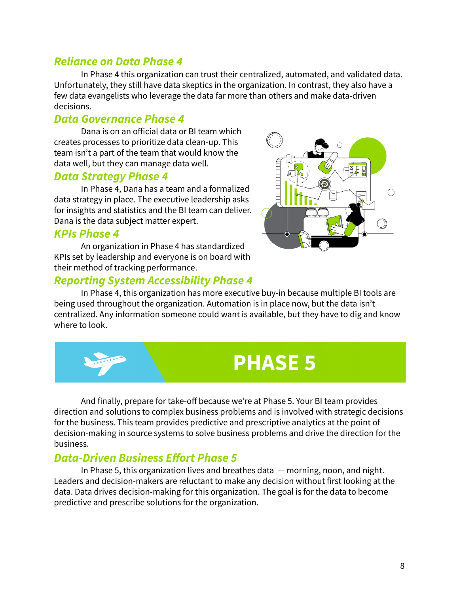#### *Reliance on Data Phase 4*

In Phase 4 this organization can trust their centralized, automated, and validated data. Unfortunately, they still have data skeptics in the organization. In contrast, they also have a few data evangelists who leverage the data far more than others and make data-driven decisions.

#### *Data Governance Phase 4*

Dana is on an official data or BI team which creates processes to prioritize data clean-up. This team isn't a part of the team that would know the data well, but they can manage data well.

#### *Data Strategy Phase 4*

In Phase 4, Dana has a team and a formalized data strategy in place. The executive leadership asks for insights and statistics and the BI team can deliver. Dana is the data subject matter expert.

#### *KPIs Phase 4*

An organization in Phase 4 has standardized KPIs set by leadership and everyone is on board with their method of tracking performance.

#### *Reporting System Accessibility Phase 4*



In Phase 4, this organization has more executive buy-in because multiple BI tools are being used throughout the organization. Automation is in place now, but the data isn't centralized. Any information someone could want is available, but they have to dig and know where to look.



And finally, prepare for take-off because we're at Phase 5. Your BI team provides direction and solutions to complex business problems and is involved with strategic decisions for the business. This team provides predictive and prescriptive analytics at the point of decision-making in source systems to solve business problems and drive the direction for the business.

## *Data-Driven Business Effort Phase 5*

In Phase 5, this organization lives and breathes data — morning, noon, and night. Leaders and decision-makers are reluctant to make any decision without first looking at the data. Data drives decision-making for this organization. The goal is for the data to become predictive and prescribe solutions for the organization.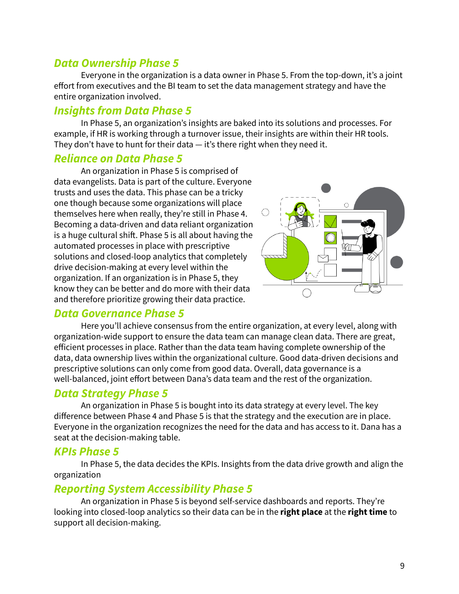## *Data Ownership Phase 5*

Everyone in the organization is a data owner in Phase 5. From the top-down, it's a joint effort from executives and the BI team to set the data management strategy and have the entire organization involved.

#### *Insights from Data Phase 5*

In Phase 5, an organization's insights are baked into its solutions and processes. For example, if HR is working through a turnover issue, their insights are within their HR tools. They don't have to hunt for their data — it's there right when they need it.

#### *Reliance on Data Phase 5*

An organization in Phase 5 is comprised of data evangelists. Data is part of the culture. Everyone trusts and uses the data. This phase can be a tricky one though because some organizations will place themselves here when really, they're still in Phase 4. Becoming a data-driven and data reliant organization is a huge cultural shift. Phase 5 is all about having the automated processes in place with prescriptive solutions and closed-loop analytics that completely drive decision-making at every level within the organization. If an organization is in Phase 5, they know they can be better and do more with their data and therefore prioritize growing their data practice.



#### *Data Governance Phase 5*

Here you'll achieve consensus from the entire organization, at every level, along with organization-wide support to ensure the data team can manage clean data. There are great, efficient processes in place. Rather than the data team having complete ownership of the data, data ownership lives within the organizational culture. Good data-driven decisions and prescriptive solutions can only come from good data. Overall, data governance is a well-balanced, joint effort between Dana's data team and the rest of the organization.

#### *Data Strategy Phase 5*

An organization in Phase 5 is bought into its data strategy at every level. The key difference between Phase 4 and Phase 5 is that the strategy and the execution are in place. Everyone in the organization recognizes the need for the data and has access to it. Dana has a seat at the decision-making table.

#### *KPIs Phase 5*

In Phase 5, the data decides the KPIs. Insights from the data drive growth and align the organization

#### *Reporting System Accessibility Phase 5*

An organization in Phase 5 is beyond self-service dashboards and reports. They're looking into closed-loop analytics so their data can be in the **right place** at the **right time** to support all decision-making.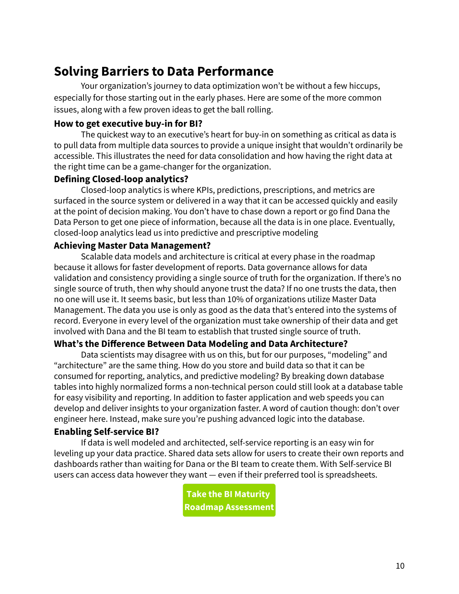# **Solving Barriers to Data Performance**

Your organization's journey to data optimization won't be without a few hiccups, especially for those starting out in the early phases. Here are some of the more common issues, along with a few proven ideas to get the ball rolling.

#### **How to get executive buy-in for BI?**

The quickest way to an executive's heart for buy-in on something as critical as data is to pull data from multiple data sources to provide a unique insight that wouldn't ordinarily be accessible. This illustrates the need for data consolidation and how having the right data at the right time can be a game-changer for the organization.

#### **Defining Closed-loop analytics?**

Closed-loop analytics is where KPIs, predictions, prescriptions, and metrics are surfaced in the source system or delivered in a way that it can be accessed quickly and easily at the point of decision making. You don't have to chase down a report or go find Dana the Data Person to get one piece of information, because all the data is in one place. Eventually, closed-loop analytics lead us into predictive and prescriptive modeling

#### **Achieving Master Data Management?**

Scalable data models and architecture is critical at every phase in the roadmap because it allows for faster development of reports. Data governance allows for data validation and consistency providing a single source of truth for the organization. If there's no single source of truth, then why should anyone trust the data? If no one trusts the data, then no one will use it. It seems basic, but less than 10% of organizations utilize Master Data Management. The data you use is only as good as the data that's entered into the systems of record. Everyone in every level of the organization must take ownership of their data and get involved with Dana and the BI team to establish that trusted single source of truth.

#### **What's the Difference Between Data Modeling and Data Architecture?**

Data scientists may disagree with us on this, but for our purposes, "modeling" and "architecture" are the same thing. How do you store and build data so that it can be consumed for reporting, analytics, and predictive modeling? By breaking down database tables into highly normalized forms a non-technical person could still look at a database table for easy visibility and reporting. In addition to faster application and web speeds you can develop and deliver insights to your organization faster. A word of caution though: don't over engineer here. Instead, make sure you're pushing advanced logic into the database.

#### **Enabling Self-service BI?**

If data is well modeled and architected, self-service reporting is an easy win for leveling up your data practice. Shared data sets allow for users to create their own reports and dashboards rather than waiting for Dana or the BI team to create them. With Self-service BI users can access data however they want — even if their preferred tool is spreadsheets.

> **Take the BI Maturity Roadmap Assessment**